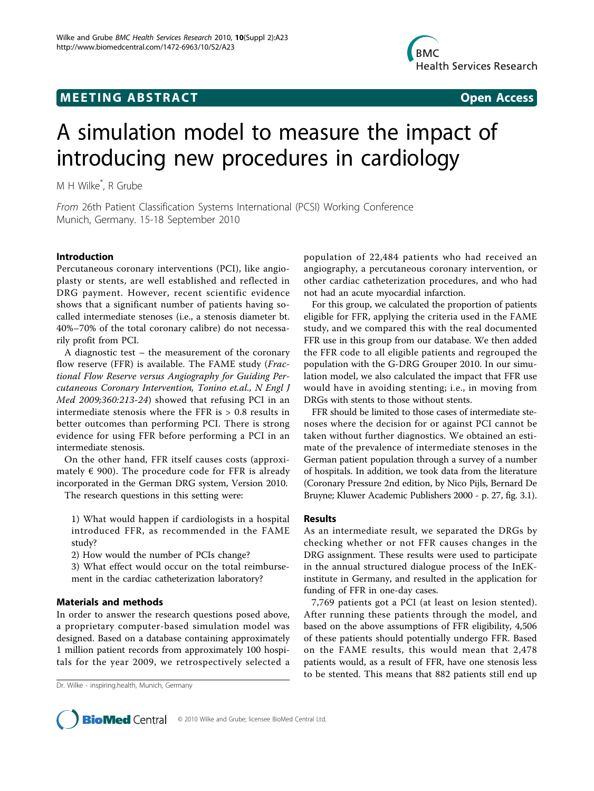# **MEETING ABSTRACT CONSUMING ABSTRACT**



# A simulation model to measure the impact of introducing new procedures in cardiology

M H Wilke\* , R Grube

From 26th Patient Classification Systems International (PCSI) Working Conference Munich, Germany. 15-18 September 2010

## Introduction

Percutaneous coronary interventions (PCI), like angioplasty or stents, are well established and reflected in DRG payment. However, recent scientific evidence shows that a significant number of patients having socalled intermediate stenoses (i.e., a stenosis diameter bt. 40%–70% of the total coronary calibre) do not necessarily profit from PCI.

A diagnostic test – the measurement of the coronary flow reserve (FFR) is available. The FAME study (Fractional Flow Reserve versus Angiography for Guiding Percutaneous Coronary Intervention, Tonino et.al., N Engl J Med 2009;360:213-24) showed that refusing PCI in an intermediate stenosis where the FFR is > 0.8 results in better outcomes than performing PCI. There is strong evidence for using FFR before performing a PCI in an intermediate stenosis.

On the other hand, FFR itself causes costs (approximately  $\epsilon$  900). The procedure code for FFR is already incorporated in the German DRG system, Version 2010.

The research questions in this setting were:

1) What would happen if cardiologists in a hospital introduced FFR, as recommended in the FAME study?

2) How would the number of PCIs change?

3) What effect would occur on the total reimbursement in the cardiac catheterization laboratory?

## Materials and methods

In order to answer the research questions posed above, a proprietary computer-based simulation model was designed. Based on a database containing approximately 1 million patient records from approximately 100 hospitals for the year 2009, we retrospectively selected a population of 22,484 patients who had received an angiography, a percutaneous coronary intervention, or other cardiac catheterization procedures, and who had not had an acute myocardial infarction.

For this group, we calculated the proportion of patients eligible for FFR, applying the criteria used in the FAME study, and we compared this with the real documented FFR use in this group from our database. We then added the FFR code to all eligible patients and regrouped the population with the G-DRG Grouper 2010. In our simulation model, we also calculated the impact that FFR use would have in avoiding stenting; i.e., in moving from DRGs with stents to those without stents.

FFR should be limited to those cases of intermediate stenoses where the decision for or against PCI cannot be taken without further diagnostics. We obtained an estimate of the prevalence of intermediate stenoses in the German patient population through a survey of a number of hospitals. In addition, we took data from the literature (Coronary Pressure 2nd edition, by Nico Pijls, Bernard De Bruyne; Kluwer Academic Publishers 2000 - p. 27, fig. 3.1).

#### Results

As an intermediate result, we separated the DRGs by checking whether or not FFR causes changes in the DRG assignment. These results were used to participate in the annual structured dialogue process of the InEKinstitute in Germany, and resulted in the application for funding of FFR in one-day cases.

7,769 patients got a PCI (at least on lesion stented). After running these patients through the model, and based on the above assumptions of FFR eligibility, 4,506 of these patients should potentially undergo FFR. Based on the FAME results, this would mean that 2,478 patients would, as a result of FFR, have one stenosis less to be stented. This means that 882 patients still end up



Dr. Wilke - inspiring.health, Munich, Germany